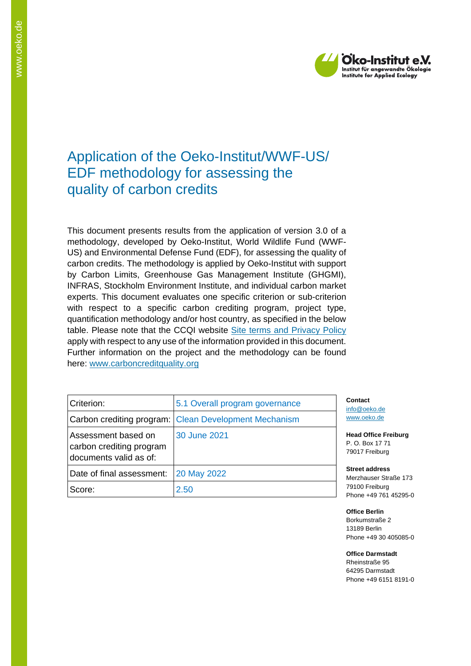

# Application of the Oeko-Institut/WWF-US/ EDF methodology for assessing the quality of carbon credits

This document presents results from the application of version 3.0 of a methodology, developed by Oeko-Institut, World Wildlife Fund (WWF-US) and Environmental Defense Fund (EDF), for assessing the quality of carbon credits. The methodology is applied by Oeko-Institut with support by Carbon Limits, Greenhouse Gas Management Institute (GHGMI), INFRAS, Stockholm Environment Institute, and individual carbon market experts. This document evaluates one specific criterion or sub-criterion with respect to a specific carbon crediting program, project type, quantification methodology and/or host country, as specified in the below table. Please note that the CCQI website [Site terms and Privacy Policy](https://carboncreditquality.org/terms.html) apply with respect to any use of the information provided in this document. Further information on the project and the methodology can be found here: [www.carboncreditquality.org](http://www.carboncreditquality.org/)

| Criterion:                                                                | 5.1 Overall program governance                        | Co<br>inf      |
|---------------------------------------------------------------------------|-------------------------------------------------------|----------------|
|                                                                           | Carbon crediting program: Clean Development Mechanism | <b>WW</b>      |
| Assessment based on<br>carbon crediting program<br>documents valid as of: | 30 June 2021                                          | He<br>Р.<br>79 |
| Date of final assessment:                                                 | 20 May 2022                                           | Sti<br>Me      |
| Score:                                                                    | 2.50                                                  | 79<br>Ph       |

**Contact** o@oeko.de [www.oeko.de](http://www.oeko.de/)

**Head Office Freiburg** P. O. Box 17 71 017 Freiburg

**Street address** erzhauser Straße 173 100 Freiburg one +49 761 45295-0

**Office Berlin** Borkumstraße 2 13189 Berlin Phone +49 30 405085-0

**Office Darmstadt** Rheinstraße 95 64295 Darmstadt Phone +49 6151 8191-0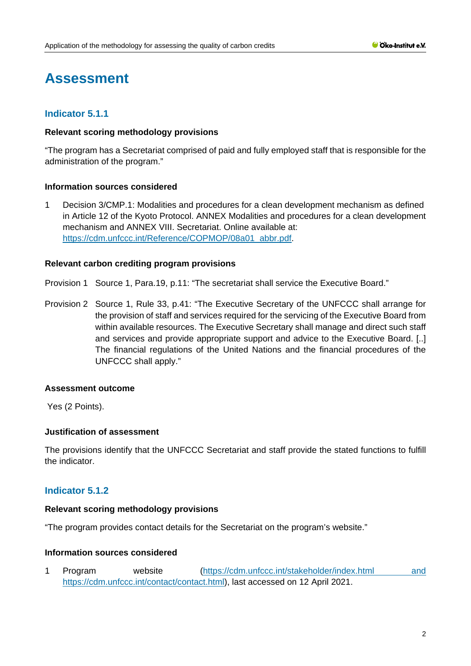# **Assessment**

# **Indicator 5.1.1**

## **Relevant scoring methodology provisions**

"The program has a Secretariat comprised of paid and fully employed staff that is responsible for the administration of the program."

## **Information sources considered**

1 Decision 3/CMP.1: Modalities and procedures for a clean development mechanism as defined in Article 12 of the Kyoto Protocol. ANNEX Modalities and procedures for a clean development mechanism and ANNEX VIII. Secretariat. Online available at: [https://cdm.unfccc.int/Reference/COPMOP/08a01\\_abbr.pdf.](https://cdm.unfccc.int/Reference/COPMOP/08a01_abbr.pdf)

## **Relevant carbon crediting program provisions**

Provision 1 Source 1, Para.19, p.11: "The secretariat shall service the Executive Board."

Provision 2 Source 1, Rule 33, p.41: "The Executive Secretary of the UNFCCC shall arrange for the provision of staff and services required for the servicing of the Executive Board from within available resources. The Executive Secretary shall manage and direct such staff and services and provide appropriate support and advice to the Executive Board. [..] The financial regulations of the United Nations and the financial procedures of the UNFCCC shall apply."

#### **Assessment outcome**

Yes (2 Points).

## **Justification of assessment**

The provisions identify that the UNFCCC Secretariat and staff provide the stated functions to fulfill the indicator.

# **Indicator 5.1.2**

#### **Relevant scoring methodology provisions**

"The program provides contact details for the Secretariat on the program's website."

## **Information sources considered**

1 Program website [\(https://cdm.unfccc.int/stakeholder/index.html](https://cdm.unfccc.int/stakeholder/index.html) and https://cdm.unfccc.int/contact/contact.html), last accessed on 12 April 2021.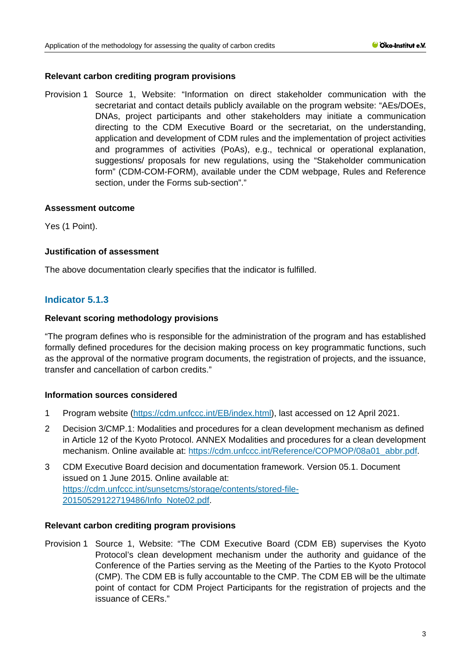## **Relevant carbon crediting program provisions**

Provision 1 Source 1, Website: "Information on direct stakeholder communication with the secretariat and contact details publicly available on the program website: "AEs/DOEs, DNAs, project participants and other stakeholders may initiate a communication directing to the CDM Executive Board or the secretariat, on the understanding, application and development of CDM rules and the implementation of project activities and programmes of activities (PoAs), e.g., technical or operational explanation, suggestions/ proposals for new regulations, using the "Stakeholder communication form" (CDM-COM-FORM), available under the CDM webpage, Rules and Reference section, under the Forms sub-section"."

## **Assessment outcome**

Yes (1 Point).

## **Justification of assessment**

The above documentation clearly specifies that the indicator is fulfilled.

# **Indicator 5.1.3**

## **Relevant scoring methodology provisions**

"The program defines who is responsible for the administration of the program and has established formally defined procedures for the decision making process on key programmatic functions, such as the approval of the normative program documents, the registration of projects, and the issuance, transfer and cancellation of carbon credits."

## **Information sources considered**

- 1 Program website [\(https://cdm.unfccc.int/EB/index.html\)](https://cdm.unfccc.int/EB/index.html), last accessed on 12 April 2021.
- 2 Decision 3/CMP.1: Modalities and procedures for a clean development mechanism as defined in Article 12 of the Kyoto Protocol. ANNEX Modalities and procedures for a clean development mechanism. Online available at: [https://cdm.unfccc.int/Reference/COPMOP/08a01\\_abbr.pdf.](https://cdm.unfccc.int/Reference/COPMOP/08a01_abbr.pdf)
- 3 CDM Executive Board decision and documentation framework. Version 05.1. Document issued on 1 June 2015. Online available at: [https://cdm.unfccc.int/sunsetcms/storage/contents/stored-file-](https://cdm.unfccc.int/sunsetcms/storage/contents/stored-file-20150529122719486/Info_Note02.pdf)[20150529122719486/Info\\_Note02.pdf.](https://cdm.unfccc.int/sunsetcms/storage/contents/stored-file-20150529122719486/Info_Note02.pdf)

#### **Relevant carbon crediting program provisions**

Provision 1 Source 1, Website: "The CDM Executive Board (CDM EB) supervises the Kyoto Protocol's clean development mechanism under the authority and guidance of the Conference of the Parties serving as the Meeting of the Parties to the Kyoto Protocol (CMP). The CDM EB is fully accountable to the CMP. The CDM EB will be the ultimate point of contact for CDM Project Participants for the registration of projects and the issuance of CERs."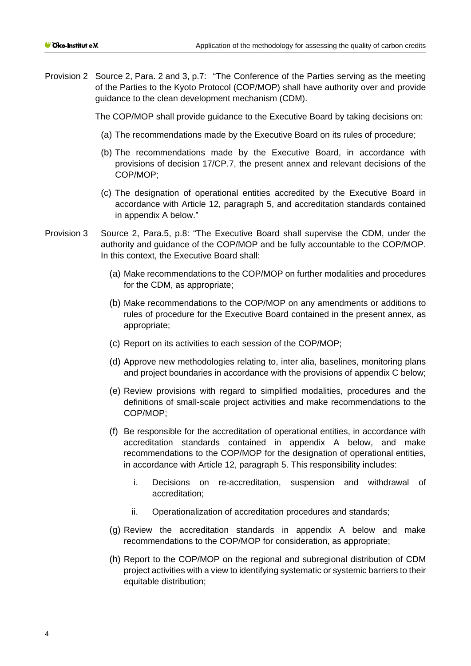Provision 2 Source 2, Para. 2 and 3, p.7: "The Conference of the Parties serving as the meeting of the Parties to the Kyoto Protocol (COP/MOP) shall have authority over and provide guidance to the clean development mechanism (CDM).

The COP/MOP shall provide guidance to the Executive Board by taking decisions on:

- (a) The recommendations made by the Executive Board on its rules of procedure;
- (b) The recommendations made by the Executive Board, in accordance with provisions of decision 17/CP.7, the present annex and relevant decisions of the COP/MOP;
- (c) The designation of operational entities accredited by the Executive Board in accordance with Article 12, paragraph 5, and accreditation standards contained in appendix A below."
- Provision 3 Source 2, Para.5, p.8: "The Executive Board shall supervise the CDM, under the authority and guidance of the COP/MOP and be fully accountable to the COP/MOP. In this context, the Executive Board shall:
	- (a) Make recommendations to the COP/MOP on further modalities and procedures for the CDM, as appropriate;
	- (b) Make recommendations to the COP/MOP on any amendments or additions to rules of procedure for the Executive Board contained in the present annex, as appropriate;
	- (c) Report on its activities to each session of the COP/MOP;
	- (d) Approve new methodologies relating to, inter alia, baselines, monitoring plans and project boundaries in accordance with the provisions of appendix C below;
	- (e) Review provisions with regard to simplified modalities, procedures and the definitions of small-scale project activities and make recommendations to the COP/MOP;
	- (f) Be responsible for the accreditation of operational entities, in accordance with accreditation standards contained in appendix A below, and make recommendations to the COP/MOP for the designation of operational entities, in accordance with Article 12, paragraph 5. This responsibility includes:
		- i. Decisions on re-accreditation, suspension and withdrawal of accreditation;
		- ii. Operationalization of accreditation procedures and standards;
	- (g) Review the accreditation standards in appendix A below and make recommendations to the COP/MOP for consideration, as appropriate;
	- (h) Report to the COP/MOP on the regional and subregional distribution of CDM project activities with a view to identifying systematic or systemic barriers to their equitable distribution;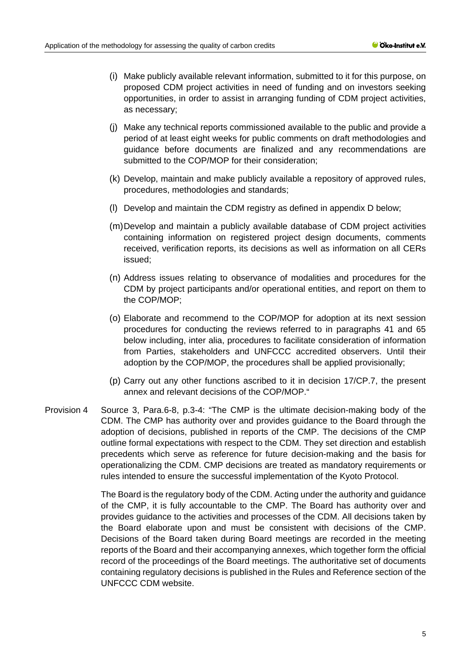- (i) Make publicly available relevant information, submitted to it for this purpose, on proposed CDM project activities in need of funding and on investors seeking opportunities, in order to assist in arranging funding of CDM project activities, as necessary;
- (j) Make any technical reports commissioned available to the public and provide a period of at least eight weeks for public comments on draft methodologies and guidance before documents are finalized and any recommendations are submitted to the COP/MOP for their consideration;
- (k) Develop, maintain and make publicly available a repository of approved rules, procedures, methodologies and standards;
- (l) Develop and maintain the CDM registry as defined in appendix D below;
- (m)Develop and maintain a publicly available database of CDM project activities containing information on registered project design documents, comments received, verification reports, its decisions as well as information on all CERs issued;
- (n) Address issues relating to observance of modalities and procedures for the CDM by project participants and/or operational entities, and report on them to the COP/MOP;
- (o) Elaborate and recommend to the COP/MOP for adoption at its next session procedures for conducting the reviews referred to in paragraphs 41 and 65 below including, inter alia, procedures to facilitate consideration of information from Parties, stakeholders and UNFCCC accredited observers. Until their adoption by the COP/MOP, the procedures shall be applied provisionally;
- (p) Carry out any other functions ascribed to it in decision 17/CP.7, the present annex and relevant decisions of the COP/MOP."
- Provision 4 Source 3, Para.6-8, p.3-4: "The CMP is the ultimate decision-making body of the CDM. The CMP has authority over and provides guidance to the Board through the adoption of decisions, published in reports of the CMP. The decisions of the CMP outline formal expectations with respect to the CDM. They set direction and establish precedents which serve as reference for future decision-making and the basis for operationalizing the CDM. CMP decisions are treated as mandatory requirements or rules intended to ensure the successful implementation of the Kyoto Protocol.

The Board is the regulatory body of the CDM. Acting under the authority and guidance of the CMP, it is fully accountable to the CMP. The Board has authority over and provides guidance to the activities and processes of the CDM. All decisions taken by the Board elaborate upon and must be consistent with decisions of the CMP. Decisions of the Board taken during Board meetings are recorded in the meeting reports of the Board and their accompanying annexes, which together form the official record of the proceedings of the Board meetings. The authoritative set of documents containing regulatory decisions is published in the Rules and Reference section of the UNFCCC CDM website.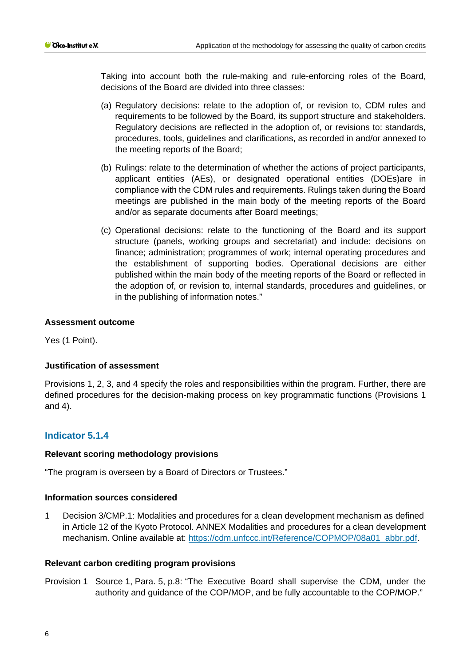Taking into account both the rule-making and rule-enforcing roles of the Board, decisions of the Board are divided into three classes:

- (a) Regulatory decisions: relate to the adoption of, or revision to, CDM rules and requirements to be followed by the Board, its support structure and stakeholders. Regulatory decisions are reflected in the adoption of, or revisions to: standards, procedures, tools, guidelines and clarifications, as recorded in and/or annexed to the meeting reports of the Board;
- (b) Rulings: relate to the determination of whether the actions of project participants, applicant entities (AEs), or designated operational entities (DOEs)are in compliance with the CDM rules and requirements. Rulings taken during the Board meetings are published in the main body of the meeting reports of the Board and/or as separate documents after Board meetings;
- (c) Operational decisions: relate to the functioning of the Board and its support structure (panels, working groups and secretariat) and include: decisions on finance; administration; programmes of work; internal operating procedures and the establishment of supporting bodies. Operational decisions are either published within the main body of the meeting reports of the Board or reflected in the adoption of, or revision to, internal standards, procedures and guidelines, or in the publishing of information notes."

## **Assessment outcome**

Yes (1 Point).

#### **Justification of assessment**

Provisions 1, 2, 3, and 4 specify the roles and responsibilities within the program. Further, there are defined procedures for the decision-making process on key programmatic functions (Provisions 1 and 4).

## **Indicator 5.1.4**

#### **Relevant scoring methodology provisions**

"The program is overseen by a Board of Directors or Trustees."

#### **Information sources considered**

1 Decision 3/CMP.1: Modalities and procedures for a clean development mechanism as defined in Article 12 of the Kyoto Protocol. ANNEX Modalities and procedures for a clean development mechanism. Online available at: [https://cdm.unfccc.int/Reference/COPMOP/08a01\\_abbr.pdf.](https://cdm.unfccc.int/Reference/COPMOP/08a01_abbr.pdf)

#### **Relevant carbon crediting program provisions**

Provision 1 Source 1, Para. 5, p.8: "The Executive Board shall supervise the CDM, under the authority and guidance of the COP/MOP, and be fully accountable to the COP/MOP."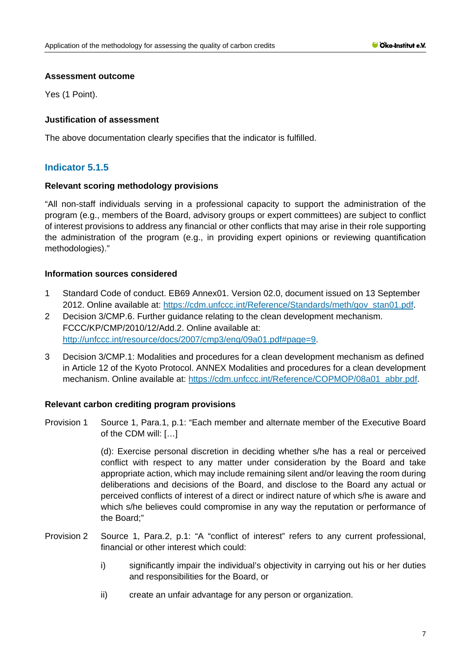Yes (1 Point).

# **Justification of assessment**

The above documentation clearly specifies that the indicator is fulfilled.

# **Indicator 5.1.5**

## **Relevant scoring methodology provisions**

"All non-staff individuals serving in a professional capacity to support the administration of the program (e.g., members of the Board, advisory groups or expert committees) are subject to conflict of interest provisions to address any financial or other conflicts that may arise in their role supporting the administration of the program (e.g., in providing expert opinions or reviewing quantification methodologies)."

## **Information sources considered**

- 1 Standard Code of conduct. EB69 Annex01. Version 02.0, document issued on 13 September 2012. Online available at: [https://cdm.unfccc.int/Reference/Standards/meth/gov\\_stan01.pdf.](https://cdm.unfccc.int/Reference/Standards/meth/gov_stan01.pdf)
- 2 Decision 3/CMP.6. Further guidance relating to the clean development mechanism. FCCC/KP/CMP/2010/12/Add.2. Online available at: [http://unfccc.int/resource/docs/2007/cmp3/eng/09a01.pdf#page=9.](http://unfccc.int/resource/docs/2007/cmp3/eng/09a01.pdf#page=9)
- 3 Decision 3/CMP.1: Modalities and procedures for a clean development mechanism as defined in Article 12 of the Kyoto Protocol. ANNEX Modalities and procedures for a clean development mechanism. Online available at: [https://cdm.unfccc.int/Reference/COPMOP/08a01\\_abbr.pdf.](https://cdm.unfccc.int/Reference/COPMOP/08a01_abbr.pdf)

## **Relevant carbon crediting program provisions**

Provision 1 Source 1, Para.1, p.1: "Each member and alternate member of the Executive Board of the CDM will: […]

> (d): Exercise personal discretion in deciding whether s/he has a real or perceived conflict with respect to any matter under consideration by the Board and take appropriate action, which may include remaining silent and/or leaving the room during deliberations and decisions of the Board, and disclose to the Board any actual or perceived conflicts of interest of a direct or indirect nature of which s/he is aware and which s/he believes could compromise in any way the reputation or performance of the Board;"

- Provision 2 Source 1, Para.2, p.1: "A "conflict of interest" refers to any current professional, financial or other interest which could:
	- i) significantly impair the individual's objectivity in carrying out his or her duties and responsibilities for the Board, or
	- ii) create an unfair advantage for any person or organization.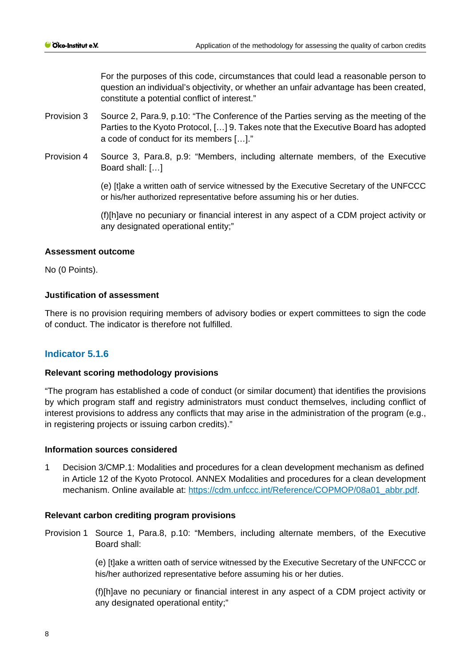For the purposes of this code, circumstances that could lead a reasonable person to question an individual's objectivity, or whether an unfair advantage has been created, constitute a potential conflict of interest."

- Provision 3 Source 2, Para.9, p.10: "The Conference of the Parties serving as the meeting of the Parties to the Kyoto Protocol, […] 9. Takes note that the Executive Board has adopted a code of conduct for its members […]."
- Provision 4 Source 3, Para.8, p.9: "Members, including alternate members, of the Executive Board shall: […]

(e) [t]ake a written oath of service witnessed by the Executive Secretary of the UNFCCC or his/her authorized representative before assuming his or her duties.

(f)[h]ave no pecuniary or financial interest in any aspect of a CDM project activity or any designated operational entity;"

## **Assessment outcome**

No (0 Points).

## **Justification of assessment**

There is no provision requiring members of advisory bodies or expert committees to sign the code of conduct. The indicator is therefore not fulfilled.

## **Indicator 5.1.6**

#### **Relevant scoring methodology provisions**

"The program has established a code of conduct (or similar document) that identifies the provisions by which program staff and registry administrators must conduct themselves, including conflict of interest provisions to address any conflicts that may arise in the administration of the program (e.g., in registering projects or issuing carbon credits)."

#### **Information sources considered**

1 Decision 3/CMP.1: Modalities and procedures for a clean development mechanism as defined in Article 12 of the Kyoto Protocol. ANNEX Modalities and procedures for a clean development mechanism. Online available at: [https://cdm.unfccc.int/Reference/COPMOP/08a01\\_abbr.pdf.](https://cdm.unfccc.int/Reference/COPMOP/08a01_abbr.pdf)

#### **Relevant carbon crediting program provisions**

Provision 1 Source 1, Para.8, p.10: "Members, including alternate members, of the Executive Board shall:

> (e) [t]ake a written oath of service witnessed by the Executive Secretary of the UNFCCC or his/her authorized representative before assuming his or her duties.

> (f)[h]ave no pecuniary or financial interest in any aspect of a CDM project activity or any designated operational entity;"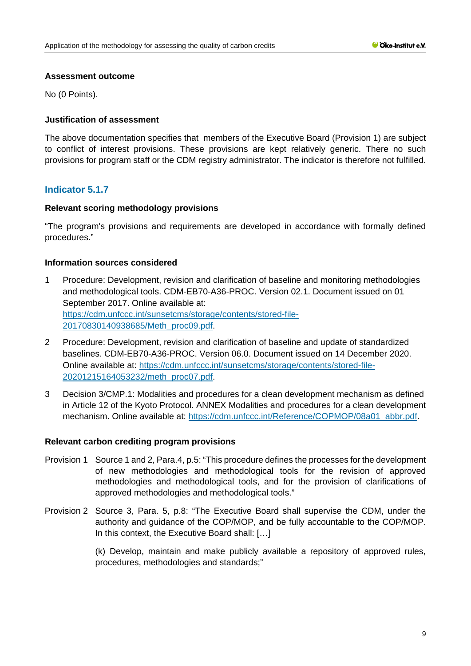No (0 Points).

## **Justification of assessment**

The above documentation specifies that members of the Executive Board (Provision 1) are subject to conflict of interest provisions. These provisions are kept relatively generic. There no such provisions for program staff or the CDM registry administrator. The indicator is therefore not fulfilled.

# **Indicator 5.1.7**

## **Relevant scoring methodology provisions**

"The program's provisions and requirements are developed in accordance with formally defined procedures."

## **Information sources considered**

- 1 Procedure: Development, revision and clarification of baseline and monitoring methodologies and methodological tools. CDM-EB70-A36-PROC. Version 02.1. Document issued on 01 September 2017. Online available at: [https://cdm.unfccc.int/sunsetcms/storage/contents/stored-file-](https://cdm.unfccc.int/sunsetcms/storage/contents/stored-file-20170830140938685/Meth_proc09.pdf)[20170830140938685/Meth\\_proc09.pdf.](https://cdm.unfccc.int/sunsetcms/storage/contents/stored-file-20170830140938685/Meth_proc09.pdf)
- 2 Procedure: Development, revision and clarification of baseline and update of standardized baselines. CDM-EB70-A36-PROC. Version 06.0. Document issued on 14 December 2020. Online available at: [https://cdm.unfccc.int/sunsetcms/storage/contents/stored-file-](https://cdm.unfccc.int/sunsetcms/storage/contents/stored-file-20201215164053232/meth_proc07.pdf)[20201215164053232/meth\\_proc07.pdf.](https://cdm.unfccc.int/sunsetcms/storage/contents/stored-file-20201215164053232/meth_proc07.pdf)
- 3 Decision 3/CMP.1: Modalities and procedures for a clean development mechanism as defined in Article 12 of the Kyoto Protocol. ANNEX Modalities and procedures for a clean development mechanism. Online available at: [https://cdm.unfccc.int/Reference/COPMOP/08a01\\_abbr.pdf.](https://cdm.unfccc.int/Reference/COPMOP/08a01_abbr.pdf)

#### **Relevant carbon crediting program provisions**

- Provision 1 Source 1 and 2, Para.4, p.5: "This procedure defines the processes for the development of new methodologies and methodological tools for the revision of approved methodologies and methodological tools, and for the provision of clarifications of approved methodologies and methodological tools."
- Provision 2 Source 3, Para. 5, p.8: "The Executive Board shall supervise the CDM, under the authority and guidance of the COP/MOP, and be fully accountable to the COP/MOP. In this context, the Executive Board shall: […]

(k) Develop, maintain and make publicly available a repository of approved rules, procedures, methodologies and standards;"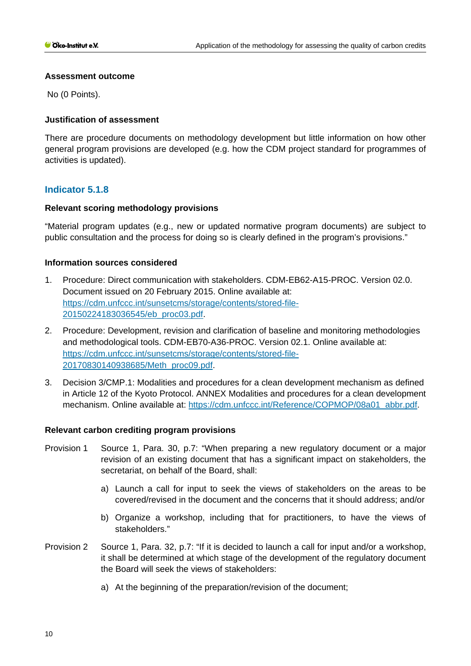No (0 Points).

## **Justification of assessment**

There are procedure documents on methodology development but little information on how other general program provisions are developed (e.g. how the CDM project standard for programmes of activities is updated).

# **Indicator 5.1.8**

## **Relevant scoring methodology provisions**

"Material program updates (e.g., new or updated normative program documents) are subject to public consultation and the process for doing so is clearly defined in the program's provisions."

## **Information sources considered**

- 1. Procedure: Direct communication with stakeholders. CDM-EB62-A15-PROC. Version 02.0. Document issued on 20 February 2015. Online available at: [https://cdm.unfccc.int/sunsetcms/storage/contents/stored-file-](https://cdm.unfccc.int/sunsetcms/storage/contents/stored-file-20150224183036545/eb_proc03.pdf)[20150224183036545/eb\\_proc03.pdf.](https://cdm.unfccc.int/sunsetcms/storage/contents/stored-file-20150224183036545/eb_proc03.pdf)
- 2. Procedure: Development, revision and clarification of baseline and monitoring methodologies and methodological tools. CDM-EB70-A36-PROC. Version 02.1. Online available at: [https://cdm.unfccc.int/sunsetcms/storage/contents/stored-file-](https://cdm.unfccc.int/sunsetcms/storage/contents/stored-file-20170830140938685/Meth_proc09.pdf)[20170830140938685/Meth\\_proc09.pdf.](https://cdm.unfccc.int/sunsetcms/storage/contents/stored-file-20170830140938685/Meth_proc09.pdf)
- 3. Decision 3/CMP.1: Modalities and procedures for a clean development mechanism as defined in Article 12 of the Kyoto Protocol. ANNEX Modalities and procedures for a clean development mechanism. Online available at: [https://cdm.unfccc.int/Reference/COPMOP/08a01\\_abbr.pdf.](https://cdm.unfccc.int/Reference/COPMOP/08a01_abbr.pdf)

#### **Relevant carbon crediting program provisions**

- Provision 1 Source 1, Para. 30, p.7: "When preparing a new regulatory document or a major revision of an existing document that has a significant impact on stakeholders, the secretariat, on behalf of the Board, shall:
	- a) Launch a call for input to seek the views of stakeholders on the areas to be covered/revised in the document and the concerns that it should address; and/or
	- b) Organize a workshop, including that for practitioners, to have the views of stakeholders."
- Provision 2 Source 1, Para. 32, p.7: "If it is decided to launch a call for input and/or a workshop, it shall be determined at which stage of the development of the regulatory document the Board will seek the views of stakeholders:
	- a) At the beginning of the preparation/revision of the document;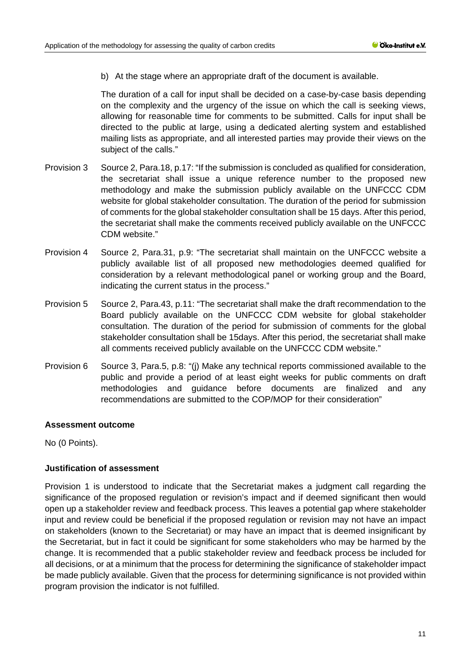b) At the stage where an appropriate draft of the document is available.

The duration of a call for input shall be decided on a case-by-case basis depending on the complexity and the urgency of the issue on which the call is seeking views, allowing for reasonable time for comments to be submitted. Calls for input shall be directed to the public at large, using a dedicated alerting system and established mailing lists as appropriate, and all interested parties may provide their views on the subject of the calls."

- Provision 3 Source 2, Para.18, p.17: "If the submission is concluded as qualified for consideration, the secretariat shall issue a unique reference number to the proposed new methodology and make the submission publicly available on the UNFCCC CDM website for global stakeholder consultation. The duration of the period for submission of comments for the global stakeholder consultation shall be 15 days. After this period, the secretariat shall make the comments received publicly available on the UNFCCC CDM website."
- Provision 4 Source 2, Para.31, p.9: "The secretariat shall maintain on the UNFCCC website a publicly available list of all proposed new methodologies deemed qualified for consideration by a relevant methodological panel or working group and the Board, indicating the current status in the process."
- Provision 5 Source 2, Para.43, p.11: "The secretariat shall make the draft recommendation to the Board publicly available on the UNFCCC CDM website for global stakeholder consultation. The duration of the period for submission of comments for the global stakeholder consultation shall be 15days. After this period, the secretariat shall make all comments received publicly available on the UNFCCC CDM website."
- Provision 6 Source 3, Para.5, p.8: "(j) Make any technical reports commissioned available to the public and provide a period of at least eight weeks for public comments on draft methodologies and guidance before documents are finalized and any recommendations are submitted to the COP/MOP for their consideration"

#### **Assessment outcome**

No (0 Points).

## **Justification of assessment**

Provision 1 is understood to indicate that the Secretariat makes a judgment call regarding the significance of the proposed regulation or revision's impact and if deemed significant then would open up a stakeholder review and feedback process. This leaves a potential gap where stakeholder input and review could be beneficial if the proposed regulation or revision may not have an impact on stakeholders (known to the Secretariat) or may have an impact that is deemed insignificant by the Secretariat, but in fact it could be significant for some stakeholders who may be harmed by the change. It is recommended that a public stakeholder review and feedback process be included for all decisions, or at a minimum that the process for determining the significance of stakeholder impact be made publicly available. Given that the process for determining significance is not provided within program provision the indicator is not fulfilled.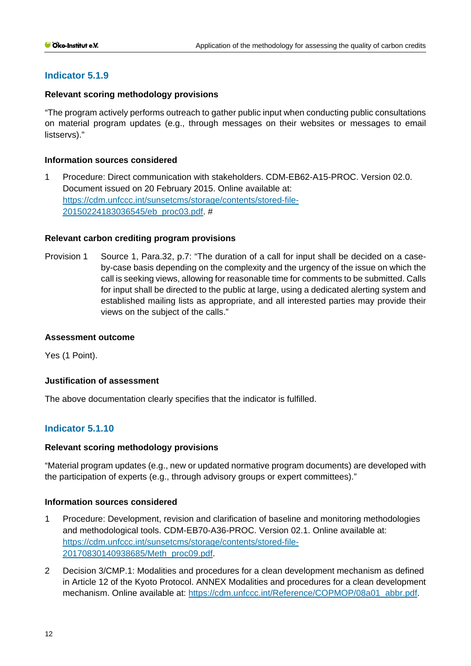# **Indicator 5.1.9**

## **Relevant scoring methodology provisions**

"The program actively performs outreach to gather public input when conducting public consultations on material program updates (e.g., through messages on their websites or messages to email listservs)."

## **Information sources considered**

1 Procedure: Direct communication with stakeholders. CDM-EB62-A15-PROC. Version 02.0. Document issued on 20 February 2015. Online available at: [https://cdm.unfccc.int/sunsetcms/storage/contents/stored-file-](https://cdm.unfccc.int/sunsetcms/storage/contents/stored-file-20150224183036545/eb_proc03.pdf)[20150224183036545/eb\\_proc03.pdf.](https://cdm.unfccc.int/sunsetcms/storage/contents/stored-file-20150224183036545/eb_proc03.pdf) #

## **Relevant carbon crediting program provisions**

Provision 1 Source 1, Para.32, p.7: "The duration of a call for input shall be decided on a caseby-case basis depending on the complexity and the urgency of the issue on which the call is seeking views, allowing for reasonable time for comments to be submitted. Calls for input shall be directed to the public at large, using a dedicated alerting system and established mailing lists as appropriate, and all interested parties may provide their views on the subject of the calls."

#### **Assessment outcome**

Yes (1 Point).

#### **Justification of assessment**

The above documentation clearly specifies that the indicator is fulfilled.

# **Indicator 5.1.10**

#### **Relevant scoring methodology provisions**

"Material program updates (e.g., new or updated normative program documents) are developed with the participation of experts (e.g., through advisory groups or expert committees)."

#### **Information sources considered**

- 1 Procedure: Development, revision and clarification of baseline and monitoring methodologies and methodological tools. CDM-EB70-A36-PROC. Version 02.1. Online available at: [https://cdm.unfccc.int/sunsetcms/storage/contents/stored-file-](https://cdm.unfccc.int/sunsetcms/storage/contents/stored-file-20170830140938685/Meth_proc09.pdf)[20170830140938685/Meth\\_proc09.pdf.](https://cdm.unfccc.int/sunsetcms/storage/contents/stored-file-20170830140938685/Meth_proc09.pdf)
- 2 Decision 3/CMP.1: Modalities and procedures for a clean development mechanism as defined in Article 12 of the Kyoto Protocol. ANNEX Modalities and procedures for a clean development mechanism. Online available at: [https://cdm.unfccc.int/Reference/COPMOP/08a01\\_abbr.pdf.](https://cdm.unfccc.int/Reference/COPMOP/08a01_abbr.pdf)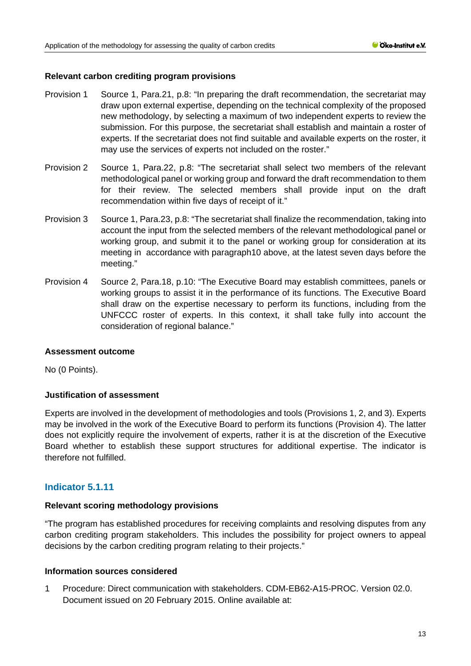## **Relevant carbon crediting program provisions**

- Provision 1 Source 1, Para.21, p.8: "In preparing the draft recommendation, the secretariat may draw upon external expertise, depending on the technical complexity of the proposed new methodology, by selecting a maximum of two independent experts to review the submission. For this purpose, the secretariat shall establish and maintain a roster of experts. If the secretariat does not find suitable and available experts on the roster, it may use the services of experts not included on the roster."
- Provision 2 Source 1, Para.22, p.8: "The secretariat shall select two members of the relevant methodological panel or working group and forward the draft recommendation to them for their review. The selected members shall provide input on the draft recommendation within five days of receipt of it."
- Provision 3 Source 1, Para.23, p.8: "The secretariat shall finalize the recommendation, taking into account the input from the selected members of the relevant methodological panel or working group, and submit it to the panel or working group for consideration at its meeting in accordance with paragraph10 above, at the latest seven days before the meeting."
- Provision 4 Source 2, Para.18, p.10: "The Executive Board may establish committees, panels or working groups to assist it in the performance of its functions. The Executive Board shall draw on the expertise necessary to perform its functions, including from the UNFCCC roster of experts. In this context, it shall take fully into account the consideration of regional balance."

#### **Assessment outcome**

No (0 Points).

## **Justification of assessment**

Experts are involved in the development of methodologies and tools (Provisions 1, 2, and 3). Experts may be involved in the work of the Executive Board to perform its functions (Provision 4). The latter does not explicitly require the involvement of experts, rather it is at the discretion of the Executive Board whether to establish these support structures for additional expertise. The indicator is therefore not fulfilled.

# **Indicator 5.1.11**

## **Relevant scoring methodology provisions**

"The program has established procedures for receiving complaints and resolving disputes from any carbon crediting program stakeholders. This includes the possibility for project owners to appeal decisions by the carbon crediting program relating to their projects."

#### **Information sources considered**

1 Procedure: Direct communication with stakeholders. CDM-EB62-A15-PROC. Version 02.0. Document issued on 20 February 2015. Online available at: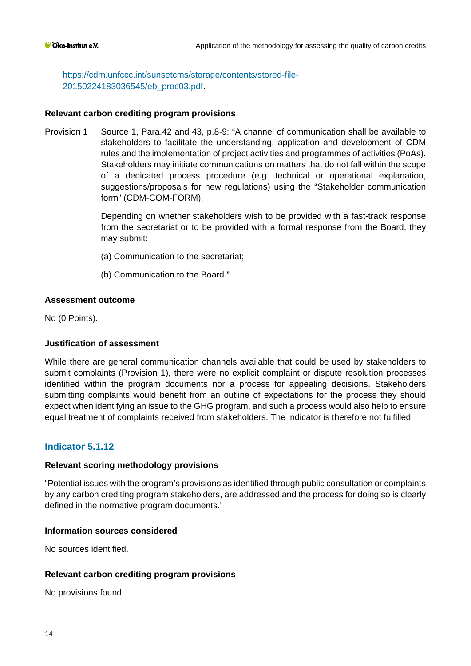[https://cdm.unfccc.int/sunsetcms/storage/contents/stored-file-](https://cdm.unfccc.int/sunsetcms/storage/contents/stored-file-20150224183036545/eb_proc03.pdf)[20150224183036545/eb\\_proc03.pdf.](https://cdm.unfccc.int/sunsetcms/storage/contents/stored-file-20150224183036545/eb_proc03.pdf)

## **Relevant carbon crediting program provisions**

Provision 1 Source 1, Para.42 and 43, p.8-9: "A channel of communication shall be available to stakeholders to facilitate the understanding, application and development of CDM rules and the implementation of project activities and programmes of activities (PoAs). Stakeholders may initiate communications on matters that do not fall within the scope of a dedicated process procedure (e.g. technical or operational explanation, suggestions/proposals for new regulations) using the "Stakeholder communication form" (CDM-COM-FORM).

> Depending on whether stakeholders wish to be provided with a fast-track response from the secretariat or to be provided with a formal response from the Board, they may submit:

- (a) Communication to the secretariat;
- (b) Communication to the Board."

## **Assessment outcome**

No (0 Points).

#### **Justification of assessment**

While there are general communication channels available that could be used by stakeholders to submit complaints (Provision 1), there were no explicit complaint or dispute resolution processes identified within the program documents nor a process for appealing decisions. Stakeholders submitting complaints would benefit from an outline of expectations for the process they should expect when identifying an issue to the GHG program, and such a process would also help to ensure equal treatment of complaints received from stakeholders. The indicator is therefore not fulfilled.

## **Indicator 5.1.12**

#### **Relevant scoring methodology provisions**

"Potential issues with the program's provisions as identified through public consultation or complaints by any carbon crediting program stakeholders, are addressed and the process for doing so is clearly defined in the normative program documents."

#### **Information sources considered**

No sources identified.

#### **Relevant carbon crediting program provisions**

No provisions found.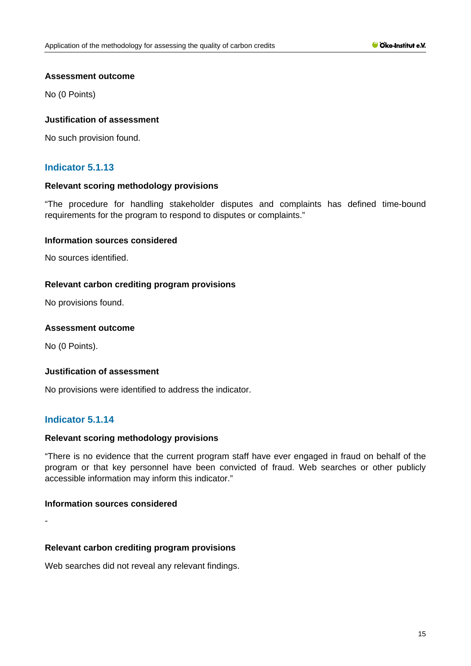No (0 Points)

## **Justification of assessment**

No such provision found.

# **Indicator 5.1.13**

## **Relevant scoring methodology provisions**

"The procedure for handling stakeholder disputes and complaints has defined time-bound requirements for the program to respond to disputes or complaints."

## **Information sources considered**

No sources identified.

## **Relevant carbon crediting program provisions**

No provisions found.

## **Assessment outcome**

No (0 Points).

#### **Justification of assessment**

No provisions were identified to address the indicator.

## **Indicator 5.1.14**

#### **Relevant scoring methodology provisions**

"There is no evidence that the current program staff have ever engaged in fraud on behalf of the program or that key personnel have been convicted of fraud. Web searches or other publicly accessible information may inform this indicator."

## **Information sources considered**

-

#### **Relevant carbon crediting program provisions**

Web searches did not reveal any relevant findings.